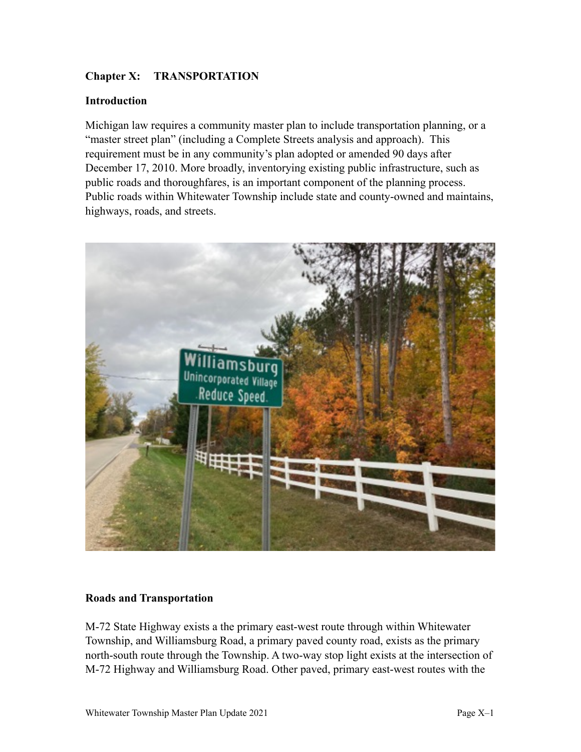# **Chapter X: TRANSPORTATION**

#### **Introduction**

Michigan law requires a community master plan to include transportation planning, or a "master street plan" (including a Complete Streets analysis and approach). This requirement must be in any community's plan adopted or amended 90 days after December 17, 2010. More broadly, inventorying existing public infrastructure, such as public roads and thoroughfares, is an important component of the planning process. Public roads within Whitewater Township include state and county-owned and maintains, highways, roads, and streets.



#### **Roads and Transportation**

M-72 State Highway exists a the primary east-west route through within Whitewater Township, and Williamsburg Road, a primary paved county road, exists as the primary north-south route through the Township. A two-way stop light exists at the intersection of M-72 Highway and Williamsburg Road. Other paved, primary east-west routes with the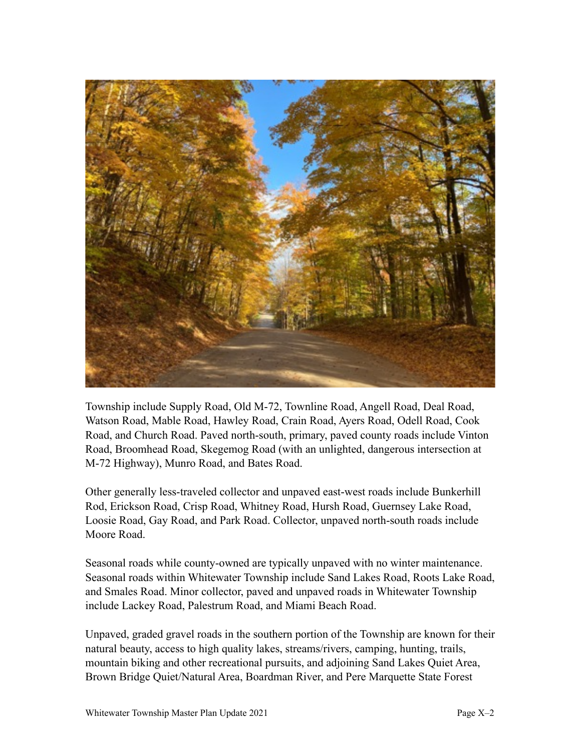

Township include Supply Road, Old M-72, Townline Road, Angell Road, Deal Road, Watson Road, Mable Road, Hawley Road, Crain Road, Ayers Road, Odell Road, Cook Road, and Church Road. Paved north-south, primary, paved county roads include Vinton Road, Broomhead Road, Skegemog Road (with an unlighted, dangerous intersection at M-72 Highway), Munro Road, and Bates Road.

Other generally less-traveled collector and unpaved east-west roads include Bunkerhill Rod, Erickson Road, Crisp Road, Whitney Road, Hursh Road, Guernsey Lake Road, Loosie Road, Gay Road, and Park Road. Collector, unpaved north-south roads include Moore Road.

Seasonal roads while county-owned are typically unpaved with no winter maintenance. Seasonal roads within Whitewater Township include Sand Lakes Road, Roots Lake Road, and Smales Road. Minor collector, paved and unpaved roads in Whitewater Township include Lackey Road, Palestrum Road, and Miami Beach Road.

Unpaved, graded gravel roads in the southern portion of the Township are known for their natural beauty, access to high quality lakes, streams/rivers, camping, hunting, trails, mountain biking and other recreational pursuits, and adjoining Sand Lakes Quiet Area, Brown Bridge Quiet/Natural Area, Boardman River, and Pere Marquette State Forest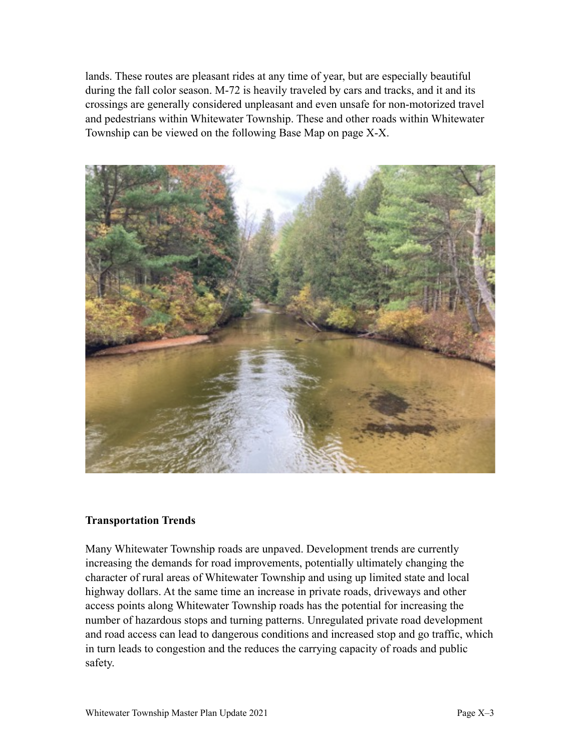lands. These routes are pleasant rides at any time of year, but are especially beautiful during the fall color season. M-72 is heavily traveled by cars and tracks, and it and its crossings are generally considered unpleasant and even unsafe for non-motorized travel and pedestrians within Whitewater Township. These and other roads within Whitewater Township can be viewed on the following Base Map on page X-X.



#### **Transportation Trends**

Many Whitewater Township roads are unpaved. Development trends are currently increasing the demands for road improvements, potentially ultimately changing the character of rural areas of Whitewater Township and using up limited state and local highway dollars. At the same time an increase in private roads, driveways and other access points along Whitewater Township roads has the potential for increasing the number of hazardous stops and turning patterns. Unregulated private road development and road access can lead to dangerous conditions and increased stop and go traffic, which in turn leads to congestion and the reduces the carrying capacity of roads and public safety.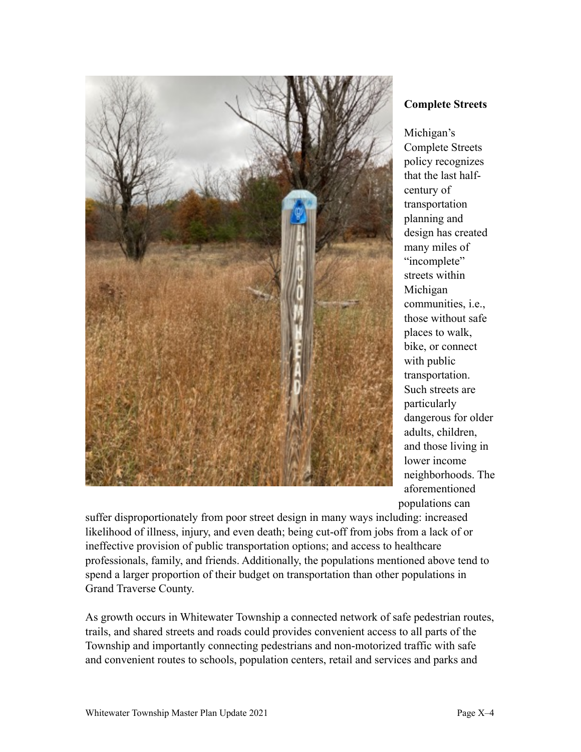

**Complete Streets** 

Michigan's Complete Streets policy recognizes that the last halfcentury of transportation planning and design has created many miles of "incomplete" streets within Michigan communities, i.e., those without safe places to walk, bike, or connect with public transportation. Such streets are particularly dangerous for older adults, children, and those living in lower income neighborhoods. The aforementioned populations can

suffer disproportionately from poor street design in many ways including: increased likelihood of illness, injury, and even death; being cut-off from jobs from a lack of or ineffective provision of public transportation options; and access to healthcare professionals, family, and friends. Additionally, the populations mentioned above tend to spend a larger proportion of their budget on transportation than other populations in Grand Traverse County.

As growth occurs in Whitewater Township a connected network of safe pedestrian routes, trails, and shared streets and roads could provides convenient access to all parts of the Township and importantly connecting pedestrians and non-motorized traffic with safe and convenient routes to schools, population centers, retail and services and parks and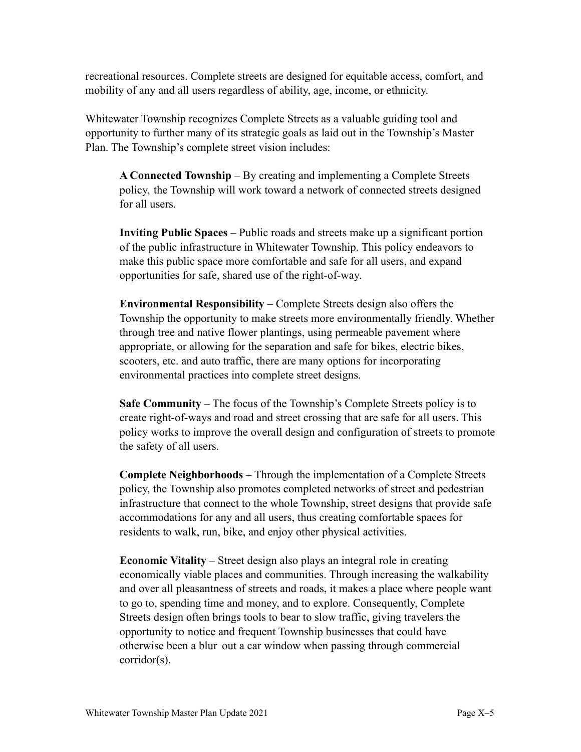recreational resources. Complete streets are designed for equitable access, comfort, and mobility of any and all users regardless of ability, age, income, or ethnicity.

Whitewater Township recognizes Complete Streets as a valuable guiding tool and opportunity to further many of its strategic goals as laid out in the Township's Master Plan. The Township's complete street vision includes:

**A Connected Township** – By creating and implementing a Complete Streets policy, the Township will work toward a network of connected streets designed for all users.

**Inviting Public Spaces** – Public roads and streets make up a significant portion of the public infrastructure in Whitewater Township. This policy endeavors to make this public space more comfortable and safe for all users, and expand opportunities for safe, shared use of the right-of-way.

**Environmental Responsibility** – Complete Streets design also offers the Township the opportunity to make streets more environmentally friendly. Whether through tree and native flower plantings, using permeable pavement where appropriate, or allowing for the separation and safe for bikes, electric bikes, scooters, etc. and auto traffic, there are many options for incorporating environmental practices into complete street designs.

**Safe Community** – The focus of the Township's Complete Streets policy is to create right-of-ways and road and street crossing that are safe for all users. This policy works to improve the overall design and configuration of streets to promote the safety of all users.

**Complete Neighborhoods** – Through the implementation of a Complete Streets policy, the Township also promotes completed networks of street and pedestrian infrastructure that connect to the whole Township, street designs that provide safe accommodations for any and all users, thus creating comfortable spaces for residents to walk, run, bike, and enjoy other physical activities.

**Economic Vitality** – Street design also plays an integral role in creating economically viable places and communities. Through increasing the walkability and over all pleasantness of streets and roads, it makes a place where people want to go to, spending time and money, and to explore. Consequently, Complete Streets design often brings tools to bear to slow traffic, giving travelers the opportunity to notice and frequent Township businesses that could have otherwise been a blur out a car window when passing through commercial corridor(s).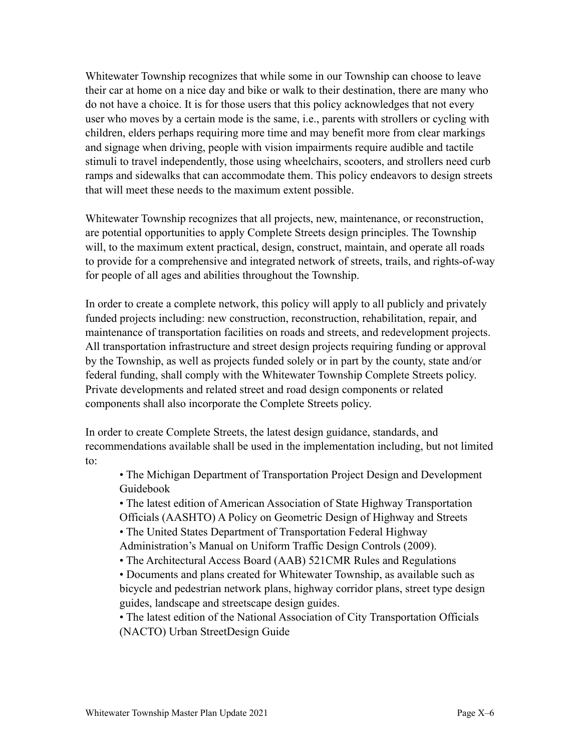Whitewater Township recognizes that while some in our Township can choose to leave their car at home on a nice day and bike or walk to their destination, there are many who do not have a choice. It is for those users that this policy acknowledges that not every user who moves by a certain mode is the same, i.e., parents with strollers or cycling with children, elders perhaps requiring more time and may benefit more from clear markings and signage when driving, people with vision impairments require audible and tactile stimuli to travel independently, those using wheelchairs, scooters, and strollers need curb ramps and sidewalks that can accommodate them. This policy endeavors to design streets that will meet these needs to the maximum extent possible.

Whitewater Township recognizes that all projects, new, maintenance, or reconstruction, are potential opportunities to apply Complete Streets design principles. The Township will, to the maximum extent practical, design, construct, maintain, and operate all roads to provide for a comprehensive and integrated network of streets, trails, and rights-of-way for people of all ages and abilities throughout the Township.

In order to create a complete network, this policy will apply to all publicly and privately funded projects including: new construction, reconstruction, rehabilitation, repair, and maintenance of transportation facilities on roads and streets, and redevelopment projects. All transportation infrastructure and street design projects requiring funding or approval by the Township, as well as projects funded solely or in part by the county, state and/or federal funding, shall comply with the Whitewater Township Complete Streets policy. Private developments and related street and road design components or related components shall also incorporate the Complete Streets policy.

In order to create Complete Streets, the latest design guidance, standards, and recommendations available shall be used in the implementation including, but not limited to:

 • The Michigan Department of Transportation Project Design and Development Guidebook

 • The latest edition of American Association of State Highway Transportation Officials (AASHTO) A Policy on Geometric Design of Highway and Streets

• The United States Department of Transportation Federal Highway

Administration's Manual on Uniform Traffic Design Controls (2009).

• The Architectural Access Board (AAB) 521CMR Rules and Regulations

 • Documents and plans created for Whitewater Township, as available such as bicycle and pedestrian network plans, highway corridor plans, street type design guides, landscape and streetscape design guides.

 • The latest edition of the National Association of City Transportation Officials (NACTO) Urban StreetDesign Guide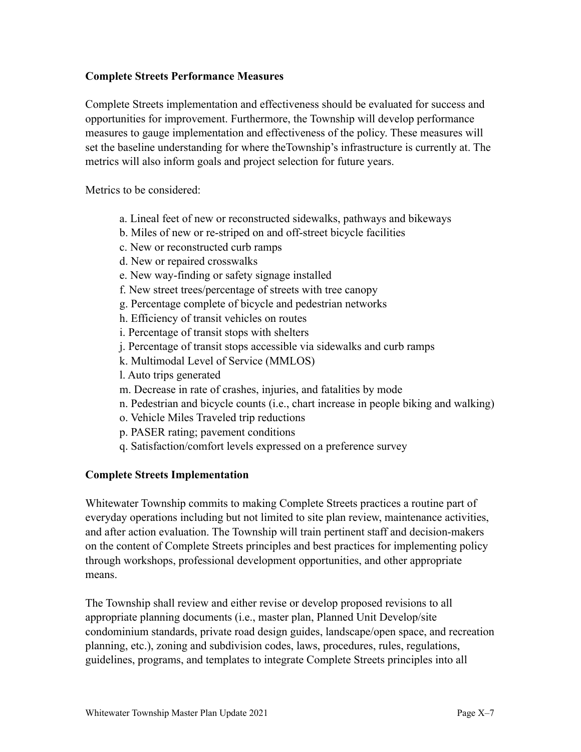## **Complete Streets Performance Measures**

Complete Streets implementation and effectiveness should be evaluated for success and opportunities for improvement. Furthermore, the Township will develop performance measures to gauge implementation and effectiveness of the policy. These measures will set the baseline understanding for where theTownship's infrastructure is currently at. The metrics will also inform goals and project selection for future years.

Metrics to be considered:

- a. Lineal feet of new or reconstructed sidewalks, pathways and bikeways
- b. Miles of new or re-striped on and off-street bicycle facilities
- c. New or reconstructed curb ramps
- d. New or repaired crosswalks
- e. New way-finding or safety signage installed
- f. New street trees/percentage of streets with tree canopy
- g. Percentage complete of bicycle and pedestrian networks
- h. Efficiency of transit vehicles on routes
- i. Percentage of transit stops with shelters
- j. Percentage of transit stops accessible via sidewalks and curb ramps
- k. Multimodal Level of Service (MMLOS)
- l. Auto trips generated
- m. Decrease in rate of crashes, injuries, and fatalities by mode
- n. Pedestrian and bicycle counts (i.e., chart increase in people biking and walking)
- o. Vehicle Miles Traveled trip reductions
- p. PASER rating; pavement conditions
- q. Satisfaction/comfort levels expressed on a preference survey

## **Complete Streets Implementation**

Whitewater Township commits to making Complete Streets practices a routine part of everyday operations including but not limited to site plan review, maintenance activities, and after action evaluation. The Township will train pertinent staff and decision-makers on the content of Complete Streets principles and best practices for implementing policy through workshops, professional development opportunities, and other appropriate means.

The Township shall review and either revise or develop proposed revisions to all appropriate planning documents (i.e., master plan, Planned Unit Develop/site condominium standards, private road design guides, landscape/open space, and recreation planning, etc.), zoning and subdivision codes, laws, procedures, rules, regulations, guidelines, programs, and templates to integrate Complete Streets principles into all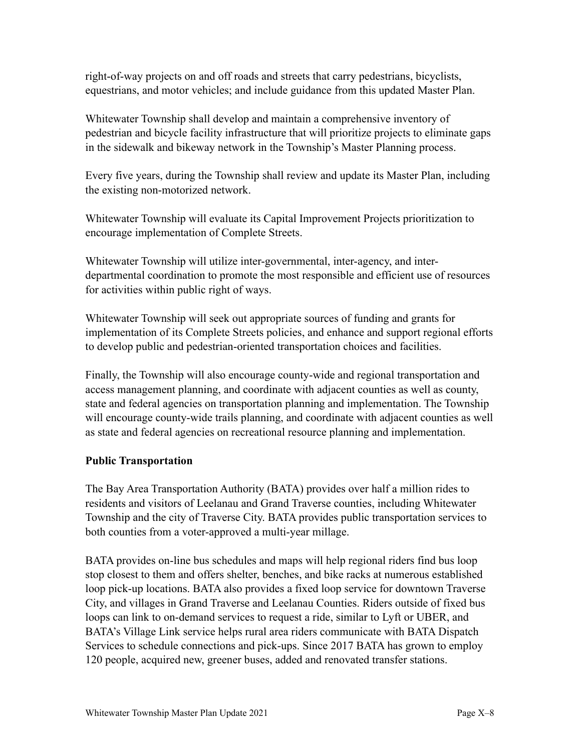right-of-way projects on and off roads and streets that carry pedestrians, bicyclists, equestrians, and motor vehicles; and include guidance from this updated Master Plan.

Whitewater Township shall develop and maintain a comprehensive inventory of pedestrian and bicycle facility infrastructure that will prioritize projects to eliminate gaps in the sidewalk and bikeway network in the Township's Master Planning process.

Every five years, during the Township shall review and update its Master Plan, including the existing non-motorized network.

Whitewater Township will evaluate its Capital Improvement Projects prioritization to encourage implementation of Complete Streets.

Whitewater Township will utilize inter-governmental, inter-agency, and interdepartmental coordination to promote the most responsible and efficient use of resources for activities within public right of ways.

Whitewater Township will seek out appropriate sources of funding and grants for implementation of its Complete Streets policies, and enhance and support regional efforts to develop public and pedestrian-oriented transportation choices and facilities.

Finally, the Township will also encourage county-wide and regional transportation and access management planning, and coordinate with adjacent counties as well as county, state and federal agencies on transportation planning and implementation. The Township will encourage county-wide trails planning, and coordinate with adjacent counties as well as state and federal agencies on recreational resource planning and implementation.

## **Public Transportation**

The Bay Area Transportation Authority (BATA) provides over half a million rides to residents and visitors of Leelanau and Grand Traverse counties, including Whitewater Township and the city of Traverse City. BATA provides public transportation services to both counties from a voter-approved a multi-year millage.

BATA provides on-line bus schedules and maps will help regional riders find bus loop stop closest to them and offers shelter, benches, and bike racks at numerous established loop pick-up locations. BATA also provides a fixed loop service for downtown Traverse City, and villages in Grand Traverse and Leelanau Counties. Riders outside of fixed bus loops can link to on-demand services to request a ride, similar to Lyft or UBER, and BATA's Village Link service helps rural area riders communicate with BATA Dispatch Services to schedule connections and pick-ups. Since 2017 BATA has grown to employ 120 people, acquired new, greener buses, added and renovated transfer stations.